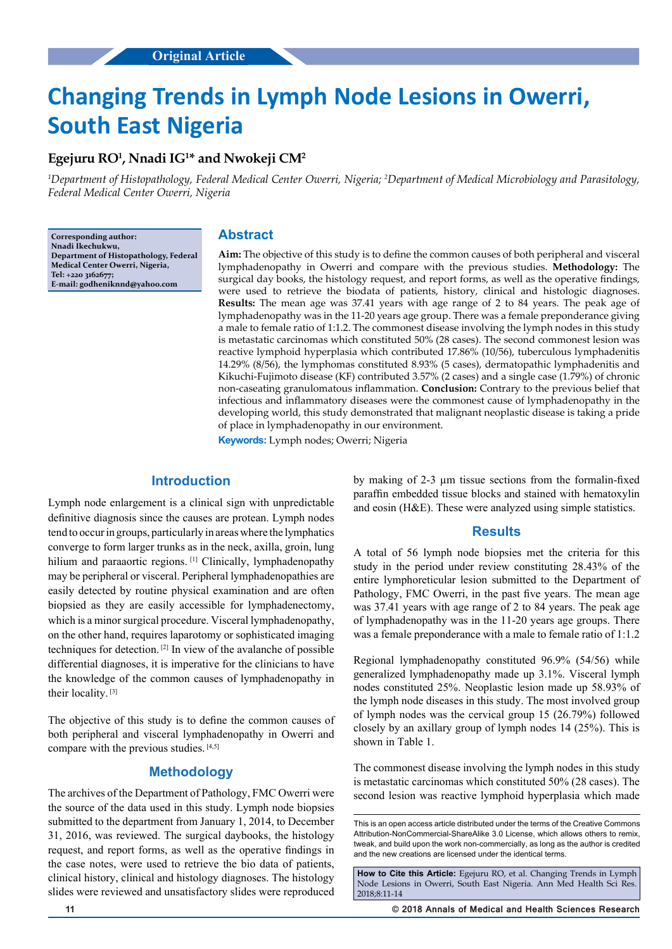# **Changing Trends in Lymph Node Lesions in Owerri, South East Nigeria**

## **Egejuru RO1 , Nnadi IG1 \* and Nwokeji CM2**

*1 Department of Histopathology, Federal Medical Center Owerri, Nigeria; 2 Department of Medical Microbiology and Parasitology, Federal Medical Center Owerri, Nigeria*

**Corresponding author: Nnadi Ikechukwu, Department of Histopathology, Federal Medical Center Owerri, Nigeria, Tel: +220 3162677; E-mail: godheniknnd@yahoo.com**

## **Abstract**

**Aim:** The objective of this study is to define the common causes of both peripheral and visceral lymphadenopathy in Owerri and compare with the previous studies. **Methodology:** The surgical day books, the histology request, and report forms, as well as the operative findings, were used to retrieve the biodata of patients, history, clinical and histologic diagnoses. **Results:** The mean age was 37.41 years with age range of 2 to 84 years. The peak age of lymphadenopathy was in the 11-20 years age group. There was a female preponderance giving a male to female ratio of 1:1.2. The commonest disease involving the lymph nodes in this study is metastatic carcinomas which constituted 50% (28 cases). The second commonest lesion was reactive lymphoid hyperplasia which contributed 17.86% (10/56), tuberculous lymphadenitis 14.29% (8/56), the lymphomas constituted 8.93% (5 cases), dermatopathic lymphadenitis and Kikuchi-Fujimoto disease (KF) contributed 3.57% (2 cases) and a single case (1.79%) of chronic non-caseating granulomatous inflammation. **Conclusion:** Contrary to the previous belief that infectious and inflammatory diseases were the commonest cause of lymphadenopathy in the developing world, this study demonstrated that malignant neoplastic disease is taking a pride of place in lymphadenopathy in our environment.

**Keywords:** Lymph nodes; Owerri; Nigeria

## **Introduction**

Lymph node enlargement is a clinical sign with unpredictable definitive diagnosis since the causes are protean. Lymph nodes tend to occur in groups, particularly in areas where the lymphatics converge to form larger trunks as in the neck, axilla, groin, lung hilium and paraaortic regions. <sup>[1]</sup> Clinically, lymphadenopathy may be peripheral or visceral. Peripheral lymphadenopathies are easily detected by routine physical examination and are often biopsied as they are easily accessible for lymphadenectomy, which is a minor surgical procedure. Visceral lymphadenopathy, on the other hand, requires laparotomy or sophisticated imaging techniques for detection. [2] In view of the avalanche of possible differential diagnoses, it is imperative for the clinicians to have the knowledge of the common causes of lymphadenopathy in their locality. [3]

The objective of this study is to define the common causes of both peripheral and visceral lymphadenopathy in Owerri and compare with the previous studies. [4,5]

## **Methodology**

The archives of the Department of Pathology, FMC Owerri were the source of the data used in this study. Lymph node biopsies submitted to the department from January 1, 2014, to December 31, 2016, was reviewed. The surgical daybooks, the histology request, and report forms, as well as the operative findings in the case notes, were used to retrieve the bio data of patients, clinical history, clinical and histology diagnoses. The histology slides were reviewed and unsatisfactory slides were reproduced

by making of 2-3 µm tissue sections from the formalin-fixed paraffin embedded tissue blocks and stained with hematoxylin and eosin (H&E). These were analyzed using simple statistics.

#### **Results**

A total of 56 lymph node biopsies met the criteria for this study in the period under review constituting 28.43% of the entire lymphoreticular lesion submitted to the Department of Pathology, FMC Owerri, in the past five years. The mean age was 37.41 years with age range of 2 to 84 years. The peak age of lymphadenopathy was in the 11-20 years age groups. There was a female preponderance with a male to female ratio of 1:1.2

Regional lymphadenopathy constituted 96.9% (54/56) while generalized lymphadenopathy made up 3.1%. Visceral lymph nodes constituted 25%. Neoplastic lesion made up 58.93% of the lymph node diseases in this study. The most involved group of lymph nodes was the cervical group 15 (26.79%) followed closely by an axillary group of lymph nodes 14 (25%). This is shown in Table 1.

The commonest disease involving the lymph nodes in this study is metastatic carcinomas which constituted 50% (28 cases). The second lesion was reactive lymphoid hyperplasia which made

This is an open access article distributed under the terms of the Creative Commons Attribution-NonCommercial-ShareAlike 3.0 License, which allows others to remix, tweak, and build upon the work non‑commercially, as long as the author is credited and the new creations are licensed under the identical terms.

**How to Cite this Article:** Egejuru RO, et al. Changing Trends in Lymph Node Lesions in Owerri, South East Nigeria. Ann Med Health Sci Res. 2018;8:11-14

**11 © 2018 Annals of Medical and Health Sciences Research**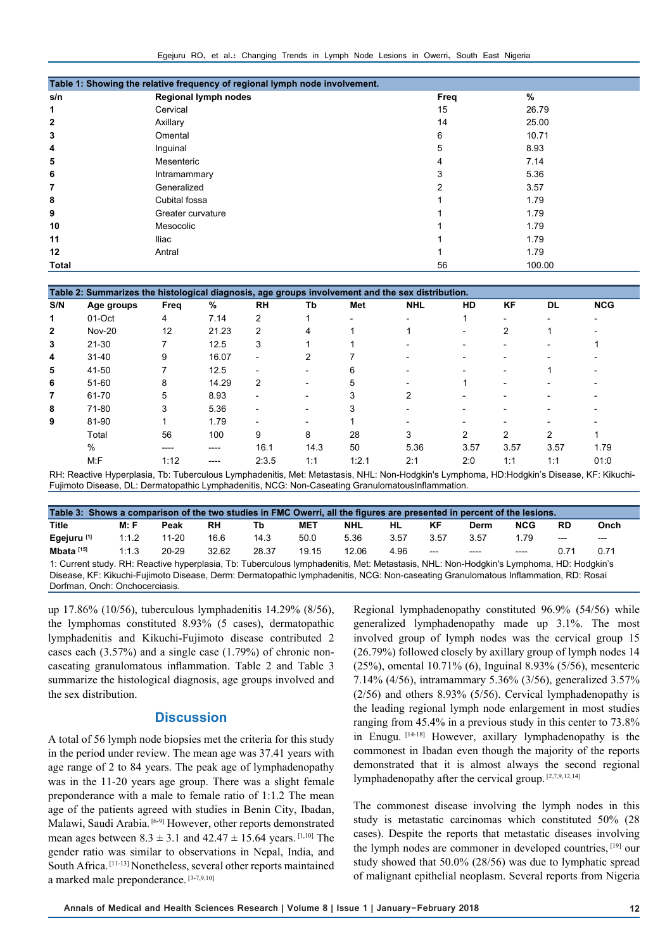Egejuru RO, et al.: Changing Trends in Lymph Node Lesions in Owerri, South East Nigeria

| Table 1: Showing the relative frequency of regional lymph node involvement. |                             |      |        |  |  |  |  |  |  |
|-----------------------------------------------------------------------------|-----------------------------|------|--------|--|--|--|--|--|--|
| s/n                                                                         | <b>Regional lymph nodes</b> | Freq | %      |  |  |  |  |  |  |
| 1                                                                           | Cervical                    | 15   | 26.79  |  |  |  |  |  |  |
| $\mathbf{2}$                                                                | Axillary                    | 14   | 25.00  |  |  |  |  |  |  |
| 3                                                                           | Omental                     | 6    | 10.71  |  |  |  |  |  |  |
| 4                                                                           | Inguinal                    | 5    | 8.93   |  |  |  |  |  |  |
| 5                                                                           | Mesenteric                  | 4    | 7.14   |  |  |  |  |  |  |
| 6                                                                           | Intramammary                | 3    | 5.36   |  |  |  |  |  |  |
| 7                                                                           | Generalized                 | 2    | 3.57   |  |  |  |  |  |  |
| 8                                                                           | Cubital fossa               |      | 1.79   |  |  |  |  |  |  |
| 9                                                                           | Greater curvature           |      | 1.79   |  |  |  |  |  |  |
| 10                                                                          | Mesocolic                   |      | 1.79   |  |  |  |  |  |  |
| 11                                                                          | Iliac                       |      | 1.79   |  |  |  |  |  |  |
| 12                                                                          | Antral                      |      | 1.79   |  |  |  |  |  |  |
| Total                                                                       |                             | 56   | 100.00 |  |  |  |  |  |  |

| Table 2: Summarizes the histological diagnosis, age groups involvement and the sex distribution. |               |      |         |                          |      |                          |            |      |           |      |                          |
|--------------------------------------------------------------------------------------------------|---------------|------|---------|--------------------------|------|--------------------------|------------|------|-----------|------|--------------------------|
| S/N                                                                                              | Age groups    | Freq | %       | <b>RH</b>                | Тb   | Met                      | <b>NHL</b> | HD   | <b>KF</b> | DL   | <b>NCG</b>               |
| 1                                                                                                | 01-Oct        | 4    | 7.14    | 2                        |      | $\overline{\phantom{0}}$ |            |      |           |      | $\overline{\phantom{0}}$ |
| $\overline{2}$                                                                                   | <b>Nov-20</b> | 12   | 21.23   | 2                        | 4    |                          |            |      | 2         |      |                          |
| 3                                                                                                | $21 - 30$     |      | 12.5    | 3                        |      |                          |            |      |           |      |                          |
| 4                                                                                                | $31 - 40$     | 9    | 16.07   | $\overline{a}$           | 2    |                          |            |      |           |      |                          |
| 5                                                                                                | 41-50         |      | 12.5    | $\overline{\phantom{0}}$ |      | 6                        |            |      |           |      |                          |
| 6                                                                                                | $51 - 60$     | 8    | 14.29   | 2                        |      | 5                        |            |      |           |      |                          |
| $\overline{7}$                                                                                   | 61-70         | 5    | 8.93    |                          |      | 3                        | 2          |      |           |      |                          |
| 8                                                                                                | 71-80         | 3    | 5.36    | $\overline{\phantom{0}}$ |      | 3                        |            |      |           |      |                          |
| 9                                                                                                | 81-90         |      | 1.79    | $\overline{\phantom{0}}$ |      |                          |            |      |           |      |                          |
|                                                                                                  | Total         | 56   | 100     | 9                        | 8    | 28                       | 3          | 2    | 2         | 2    |                          |
|                                                                                                  | $\%$          | ---- | $--- -$ | 16.1                     | 14.3 | 50                       | 5.36       | 3.57 | 3.57      | 3.57 | 1.79                     |
|                                                                                                  | $M:$ F        | 1:12 | $--- -$ | 2:3.5                    | 1:1  | 1:2.1                    | 2:1        | 2:0  | 1:1       | 1:1  | 01:0                     |

RH: Reactive Hyperplasia, Tb: Tuberculous Lymphadenitis, Met: Metastasis, NHL: Non-Hodgkin's Lymphoma, HD:Hodgkin's Disease, KF: Kikuchi-Fujimoto Disease, DL: Dermatopathic Lymphadenitis, NCG: Non-Caseating GranulomatousInflammation.

| Table 3: Shows a comparison of the two studies in FMC Owerri, all the figures are presented in percent of the lesions.                 |       |           |       |       |            |            |      |       |       |            |           |       |
|----------------------------------------------------------------------------------------------------------------------------------------|-------|-----------|-------|-------|------------|------------|------|-------|-------|------------|-----------|-------|
| Title                                                                                                                                  | M: F  | Peak      | RH    | Tb    | <b>MET</b> | <b>NHL</b> | HL   | КF    | Derm  | <b>NCG</b> | <b>RD</b> | Onch  |
| Egejuru <sup>[1]</sup>                                                                                                                 | 1:1.2 | 11-20     | 16.6  | 14.3  | 50.0       | 5.36       | 3.57 | 3.57  | 3.57  | 1.79       | $---$     | $---$ |
| Mbata <sup>[15]</sup>                                                                                                                  | 1:1.3 | $20 - 29$ | 32.62 | 28.37 | 19.15      | 12.06      | 4.96 | $---$ | $---$ | ----       | በ 71      | 0.71  |
| 1: Current study. RH: Reactive hyperplasia, Tb: Tuberculous lymphadenitis, Met: Metastasis, NHL: Non-Hodgkin's Lymphoma, HD: Hodgkin's |       |           |       |       |            |            |      |       |       |            |           |       |

Disease, KF: Kikuchi-Fujimoto Disease, Derm: Dermatopathic lymphadenitis, NCG: Non-caseating Granulomatous Inflammation, RD: Rosai Dorfman, Onch: Onchocerciasis.

up 17.86% (10/56), tuberculous lymphadenitis 14.29% (8/56), the lymphomas constituted 8.93% (5 cases), dermatopathic lymphadenitis and Kikuchi-Fujimoto disease contributed 2 cases each (3.57%) and a single case (1.79%) of chronic noncaseating granulomatous inflammation. Table 2 and Table 3 summarize the histological diagnosis, age groups involved and the sex distribution.

#### **Discussion**

A total of 56 lymph node biopsies met the criteria for this study in the period under review. The mean age was 37.41 years with age range of 2 to 84 years. The peak age of lymphadenopathy was in the 11-20 years age group. There was a slight female preponderance with a male to female ratio of 1:1.2 The mean age of the patients agreed with studies in Benin City, Ibadan, Malawi, Saudi Arabia. [6-9] However, other reports demonstrated mean ages between  $8.3 \pm 3.1$  and  $42.47 \pm 15.64$  years. [1,10] The gender ratio was similar to observations in Nepal, India, and South Africa. [11-13] Nonetheless, several other reports maintained a marked male preponderance. [3-7,9,10]

Regional lymphadenopathy constituted 96.9% (54/56) while generalized lymphadenopathy made up 3.1%. The most involved group of lymph nodes was the cervical group 15 (26.79%) followed closely by axillary group of lymph nodes 14 (25%), omental 10.71% (6), Inguinal 8.93% (5/56), mesenteric 7.14% (4/56), intramammary 5.36% (3/56), generalized 3.57% (2/56) and others 8.93% (5/56). Cervical lymphadenopathy is the leading regional lymph node enlargement in most studies ranging from 45.4% in a previous study in this center to 73.8% in Enugu. [14-18] However, axillary lymphadenopathy is the commonest in Ibadan even though the majority of the reports demonstrated that it is almost always the second regional lymphadenopathy after the cervical group. [2,7,9,12,14]

The commonest disease involving the lymph nodes in this study is metastatic carcinomas which constituted 50% (28 cases). Despite the reports that metastatic diseases involving the lymph nodes are commoner in developed countries, [19] our study showed that 50.0% (28/56) was due to lymphatic spread of malignant epithelial neoplasm. Several reports from Nigeria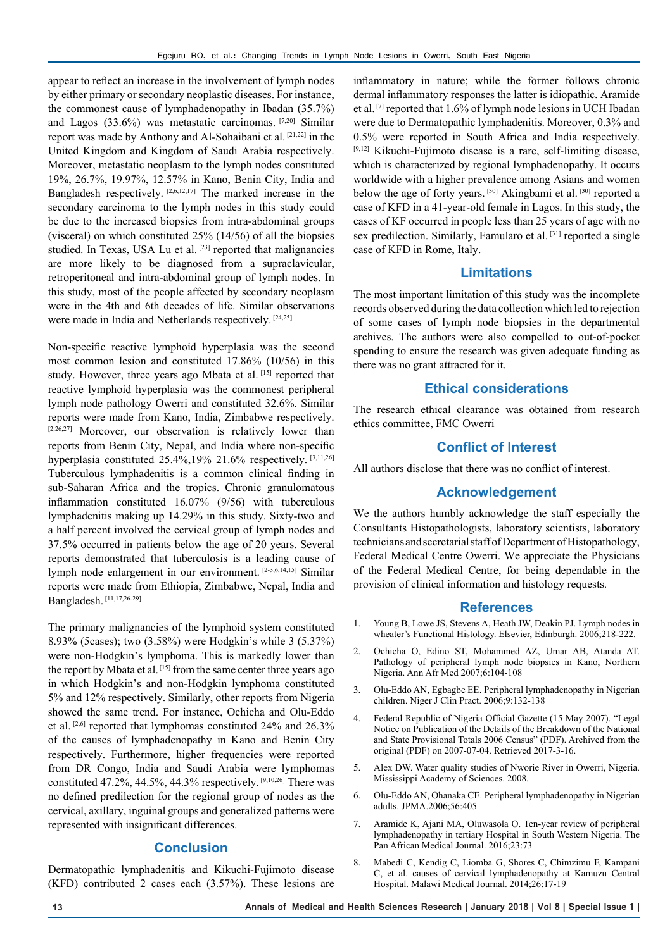appear to reflect an increase in the involvement of lymph nodes by either primary or secondary neoplastic diseases. For instance, the commonest cause of lymphadenopathy in Ibadan (35.7%) and Lagos (33.6%) was metastatic carcinomas. [7,20] Similar report was made by Anthony and Al-Sohaibani et al. [21,22] in the United Kingdom and Kingdom of Saudi Arabia respectively. Moreover, metastatic neoplasm to the lymph nodes constituted 19%, 26.7%, 19.97%, 12.57% in Kano, Benin City, India and Bangladesh respectively. [2,6,12,17] The marked increase in the secondary carcinoma to the lymph nodes in this study could be due to the increased biopsies from intra-abdominal groups (visceral) on which constituted 25% (14/56) of all the biopsies studied. In Texas, USA Lu et al.<sup>[23]</sup> reported that malignancies are more likely to be diagnosed from a supraclavicular, retroperitoneal and intra-abdominal group of lymph nodes. In this study, most of the people affected by secondary neoplasm were in the 4th and 6th decades of life. Similar observations were made in India and Netherlands respectively. [24,25]

Non-specific reactive lymphoid hyperplasia was the second most common lesion and constituted 17.86% (10/56) in this study. However, three years ago Mbata et al. [15] reported that reactive lymphoid hyperplasia was the commonest peripheral lymph node pathology Owerri and constituted 32.6%. Similar reports were made from Kano, India, Zimbabwe respectively. [2,26,27] Moreover, our observation is relatively lower than reports from Benin City, Nepal, and India where non-specific hyperplasia constituted 25.4%,19% 21.6% respectively. [3,11,26] Tuberculous lymphadenitis is a common clinical finding in sub-Saharan Africa and the tropics. Chronic granulomatous inflammation constituted 16.07% (9/56) with tuberculous lymphadenitis making up 14.29% in this study. Sixty-two and a half percent involved the cervical group of lymph nodes and 37.5% occurred in patients below the age of 20 years. Several reports demonstrated that tuberculosis is a leading cause of lymph node enlargement in our environment. [2-3,6,14,15] Similar reports were made from Ethiopia, Zimbabwe, Nepal, India and Bangladesh. [11,17,26-29]

The primary malignancies of the lymphoid system constituted 8.93% (5cases); two (3.58%) were Hodgkin's while 3 (5.37%) were non-Hodgkin's lymphoma. This is markedly lower than the report by Mbata et al. [15] from the same center three years ago in which Hodgkin's and non-Hodgkin lymphoma constituted 5% and 12% respectively. Similarly, other reports from Nigeria showed the same trend. For instance, Ochicha and Olu-Eddo et al. [2,6] reported that lymphomas constituted 24% and 26.3% of the causes of lymphadenopathy in Kano and Benin City respectively. Furthermore, higher frequencies were reported from DR Congo, India and Saudi Arabia were lymphomas constituted 47.2%, 44.5%, 44.3% respectively. [9,10,26] There was no defined predilection for the regional group of nodes as the cervical, axillary, inguinal groups and generalized patterns were represented with insignificant differences.

## **Conclusion**

Dermatopathic lymphadenitis and Kikuchi-Fujimoto disease (KFD) contributed 2 cases each (3.57%). These lesions are

inflammatory in nature; while the former follows chronic dermal inflammatory responses the latter is idiopathic. Aramide et al. [7] reported that 1.6% of lymph node lesions in UCH Ibadan were due to Dermatopathic lymphadenitis. Moreover, 0.3% and 0.5% were reported in South Africa and India respectively. [9,12] Kikuchi-Fujimoto disease is a rare, self-limiting disease, which is characterized by regional lymphadenopathy. It occurs worldwide with a higher prevalence among Asians and women below the age of forty years. [30] Akingbami et al. [30] reported a case of KFD in a 41-year-old female in Lagos. In this study, the cases of KF occurred in people less than 25 years of age with no sex predilection. Similarly, Famularo et al.<sup>[31]</sup> reported a single case of KFD in Rome, Italy.

## **Limitations**

The most important limitation of this study was the incomplete records observed during the data collection which led to rejection of some cases of lymph node biopsies in the departmental archives. The authors were also compelled to out-of-pocket spending to ensure the research was given adequate funding as there was no grant attracted for it.

## **Ethical considerations**

The research ethical clearance was obtained from research ethics committee, FMC Owerri

#### **Conflict of Interest**

All authors disclose that there was no conflict of interest.

#### **Acknowledgement**

We the authors humbly acknowledge the staff especially the Consultants Histopathologists, laboratory scientists, laboratory technicians and secretarial staff of Department of Histopathology, Federal Medical Centre Owerri. We appreciate the Physicians of the Federal Medical Centre, for being dependable in the provision of clinical information and histology requests.

#### **References**

- 1. Young B, Lowe JS, Stevens A, Heath JW, Deakin PJ. Lymph nodes in wheater's Functional Histology. Elsevier, Edinburgh. 2006;218-222.
- 2. Ochicha O, Edino ST, Mohammed AZ, Umar AB, Atanda AT. Pathology of peripheral lymph node biopsies in Kano, Northern Nigeria. Ann Afr Med 2007;6:104-108
- 3. Olu-Eddo AN, Egbagbe EE. Peripheral lymphadenopathy in Nigerian children. Niger J Clin Pract. 2006;9:132-138
- 4. Federal Republic of Nigeria Official Gazette (15 May 2007). "Legal Notice on Publication of the Details of the Breakdown of the National and State Provisional Totals 2006 Census" (PDF). Archived from the original (PDF) on 2007-07-04. Retrieved 2017-3-16.
- 5. Alex DW. Water quality studies of Nworie River in Owerri, Nigeria. Mississippi Academy of Sciences. 2008.
- 6. Olu-Eddo AN, Ohanaka CE. Peripheral lymphadenopathy in Nigerian adults. JPMA.2006;56:405
- 7. Aramide K, Ajani MA, Oluwasola O. Ten-year review of peripheral lymphadenopathy in tertiary Hospital in South Western Nigeria. The Pan African Medical Journal. 2016;23:73
- 8. Mabedi C, Kendig C, Liomba G, Shores C, Chimzimu F, Kampani C, et al. causes of cervical lymphadenopathy at Kamuzu Central Hospital. Malawi Medical Journal. 2014;26:17-19